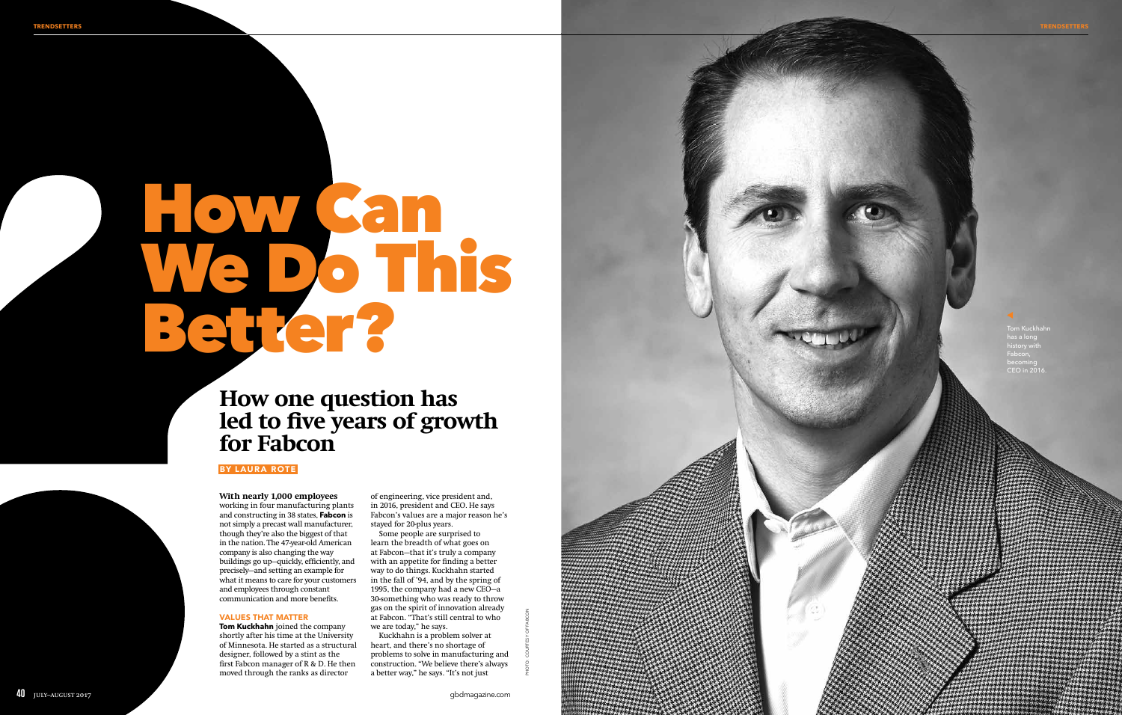# How Can<br>We Do This<br>Better?

# **How one question has led to five years of growth for Fabcon**

### **With nearly 1,000 employees**

working in four manufacturing plants and constructing in 38 states, **Fabcon** is not simply a precast wall manufacturer, though they're also the biggest of that in the nation. The 47-year-old American company is also changing the way buildings go up—quickly, efficiently, and precisely—and setting an example for what it means to care for your customers and employees through constant communication and more benefits.

### VALUES THAT MATTER

**Tom Kuckhahn** joined the company shortly after his time at the University of Minnesota. He started as a structural designer, followed by a stint as the first Fabcon manager of R & D. He then moved through the ranks as director

.<br>Tom Kuckhahi has a long history with Fabcon, becoming CEO in 2016.



of engineering, vice president and, in 2016, president and CEO. He says Fabcon's values are a major reason he's stayed for 20-plus years.

Some people are surprised to learn the breadth of what goes on at Fabcon—that it's truly a company with an appetite for finding a better way to do things. Kuckhahn started in the fall of '94, and by the spring of 1995, the company had a new CEO—a 30-something who was ready to throw gas on the spirit of innovation already at Fabcon. "That's still central to who we are today," he says.

Kuckhahn is a problem solver at heart, and there's no shortage of problems to solve in manufacturing and construction. "We believe there's always a better way," he says. "It's not just

## BY LAURA ROT E

PHOTO: COURTESY OF FABCON